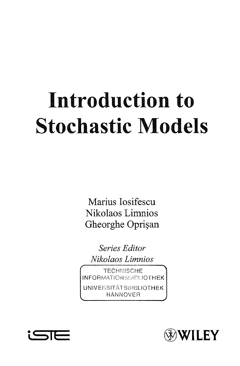## Introduction to **Stochastic Models**

Marius Iosifescu Nikolaos Limnios Gheorghe Oprișan

Series Editor Nikolaos Limnios

**TECHNISCHE INFORMATIONSSIBLIOTHEK UNIVERSITÄTSBIBLIOTHEK** HANNOVER



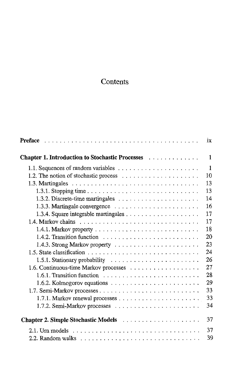## **Contents**

|                                                                                      | ix           |
|--------------------------------------------------------------------------------------|--------------|
| Chapter 1. Introduction to Stochastic Processes                                      | 1            |
|                                                                                      | $\mathbf{1}$ |
|                                                                                      | 10           |
|                                                                                      | 13           |
|                                                                                      | 13           |
|                                                                                      | 14           |
| 1.3.3. Martingale convergence $\ldots \ldots \ldots \ldots \ldots \ldots \ldots$     | 16           |
|                                                                                      | 17           |
|                                                                                      | 17           |
|                                                                                      | 18           |
| 1.4.2. Transition function $\ldots \ldots \ldots \ldots \ldots \ldots \ldots \ldots$ | 20           |
|                                                                                      | 23           |
|                                                                                      | 24           |
|                                                                                      | 26           |
|                                                                                      | 27           |
| $1.6.1$ . Transition function $\ldots \ldots \ldots \ldots \ldots \ldots \ldots$     | 28           |
| 1.6.2. Kolmogorov equations $\ldots \ldots \ldots \ldots \ldots \ldots \ldots$       | 29           |
|                                                                                      | 33           |
| 1.7.1. Markov renewal processes $\ldots \ldots \ldots \ldots \ldots \ldots$          | 33           |
|                                                                                      | 34           |
|                                                                                      |              |
|                                                                                      | 37           |
|                                                                                      | 37           |
|                                                                                      | 39           |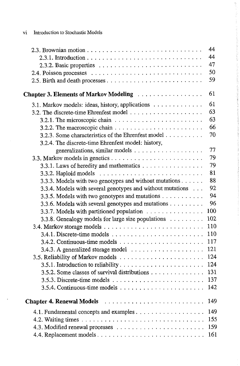vi Introduction to Stochastic Models

 $\ddot{\phantom{a}}$ 

|                                                                                        | 44  |
|----------------------------------------------------------------------------------------|-----|
|                                                                                        | 44  |
|                                                                                        | 47  |
|                                                                                        | 50  |
|                                                                                        | 59  |
| <b>Chapter 3. Elements of Markov Modeling</b><br>.                                     | 61  |
| 3.1. Markov models: ideas, history, applications                                       | 61  |
|                                                                                        | 63  |
| 3.2.1. The microscopic chain $\ldots \ldots \ldots \ldots \ldots \ldots \ldots \ldots$ | 63  |
|                                                                                        | 66  |
| 3.2.3. Some characteristics of the Ehrenfest model                                     | 70  |
| 3.2.4. The discrete-time Ehrenfest model: history,                                     |     |
|                                                                                        | 77  |
|                                                                                        | 79  |
| 3.3.1. Laws of heredity and mathematics                                                | 79  |
|                                                                                        | 81  |
| 3.3.3. Models with two genotypes and without mutations                                 | 88  |
| 3.3.4. Models with several genotypes and without mutations                             | 92  |
| 3.3.5. Models with two genotypes and mutations                                         | 94  |
| 3.3.6. Models with several genotypes and mutations                                     | 96  |
| 3.3.7. Models with partitioned population                                              | 100 |
| 3.3.8. Genealogy models for large size populations                                     | 102 |
|                                                                                        | 110 |
|                                                                                        | 110 |
|                                                                                        | 117 |
| 3.4.3. A generalized storage model                                                     | 121 |
|                                                                                        | 124 |
|                                                                                        | 124 |
| 3.5.2. Some classes of survival distributions                                          | 131 |
|                                                                                        | 137 |
|                                                                                        | 142 |
|                                                                                        | 149 |
|                                                                                        | 149 |
|                                                                                        | 155 |
|                                                                                        | 159 |
| 4.4. Replacement models                                                                | 161 |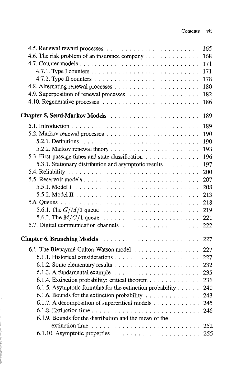$\hat{\boldsymbol{\beta}}$ 

| 4.6. The risk problem of an insurance company<br>168<br>171<br>171<br>4.7.2. Type II counters $\ldots \ldots \ldots \ldots \ldots \ldots \ldots \ldots$<br>178<br>180<br>4.9. Superposition of renewal processes<br>182<br>186<br>Chapter 5. Semi-Markov Models<br>189<br>189<br>190<br>5.2.1. Definitions $\ldots \ldots \ldots \ldots \ldots \ldots \ldots \ldots \ldots \ldots$<br>190<br>193<br>5.3. First-passage times and state classification<br>196<br>5.3.1. Stationary distribution and asymptotic results<br>197<br>200<br>207<br>208<br>213<br>218<br>219<br>221<br>222<br>227<br>6.1. The Bienaymé-Galton-Watson model<br>227<br>227<br>232<br>235<br>6.1.4. Extinction probability: critical theorem<br>236<br>6.1.5. Asymptotic formulas for the extinction probability<br>240<br>6.1.6. Bounds for the extinction probability $\ldots \ldots \ldots \ldots$<br>243<br>6.1.7. A decomposition of supercritical models<br>245<br>246<br>6.1.9. Bounds for the distribution and the mean of the<br>extinction time $\ldots \ldots \ldots \ldots \ldots \ldots \ldots \ldots \ldots 252$<br>255 | 165 |
|--------------------------------------------------------------------------------------------------------------------------------------------------------------------------------------------------------------------------------------------------------------------------------------------------------------------------------------------------------------------------------------------------------------------------------------------------------------------------------------------------------------------------------------------------------------------------------------------------------------------------------------------------------------------------------------------------------------------------------------------------------------------------------------------------------------------------------------------------------------------------------------------------------------------------------------------------------------------------------------------------------------------------------------------------------------------------------------------------------------|-----|
|                                                                                                                                                                                                                                                                                                                                                                                                                                                                                                                                                                                                                                                                                                                                                                                                                                                                                                                                                                                                                                                                                                              |     |
|                                                                                                                                                                                                                                                                                                                                                                                                                                                                                                                                                                                                                                                                                                                                                                                                                                                                                                                                                                                                                                                                                                              |     |
|                                                                                                                                                                                                                                                                                                                                                                                                                                                                                                                                                                                                                                                                                                                                                                                                                                                                                                                                                                                                                                                                                                              |     |
|                                                                                                                                                                                                                                                                                                                                                                                                                                                                                                                                                                                                                                                                                                                                                                                                                                                                                                                                                                                                                                                                                                              |     |
|                                                                                                                                                                                                                                                                                                                                                                                                                                                                                                                                                                                                                                                                                                                                                                                                                                                                                                                                                                                                                                                                                                              |     |
|                                                                                                                                                                                                                                                                                                                                                                                                                                                                                                                                                                                                                                                                                                                                                                                                                                                                                                                                                                                                                                                                                                              |     |
|                                                                                                                                                                                                                                                                                                                                                                                                                                                                                                                                                                                                                                                                                                                                                                                                                                                                                                                                                                                                                                                                                                              |     |
|                                                                                                                                                                                                                                                                                                                                                                                                                                                                                                                                                                                                                                                                                                                                                                                                                                                                                                                                                                                                                                                                                                              |     |
|                                                                                                                                                                                                                                                                                                                                                                                                                                                                                                                                                                                                                                                                                                                                                                                                                                                                                                                                                                                                                                                                                                              |     |
|                                                                                                                                                                                                                                                                                                                                                                                                                                                                                                                                                                                                                                                                                                                                                                                                                                                                                                                                                                                                                                                                                                              |     |
|                                                                                                                                                                                                                                                                                                                                                                                                                                                                                                                                                                                                                                                                                                                                                                                                                                                                                                                                                                                                                                                                                                              |     |
|                                                                                                                                                                                                                                                                                                                                                                                                                                                                                                                                                                                                                                                                                                                                                                                                                                                                                                                                                                                                                                                                                                              |     |
|                                                                                                                                                                                                                                                                                                                                                                                                                                                                                                                                                                                                                                                                                                                                                                                                                                                                                                                                                                                                                                                                                                              |     |
|                                                                                                                                                                                                                                                                                                                                                                                                                                                                                                                                                                                                                                                                                                                                                                                                                                                                                                                                                                                                                                                                                                              |     |
|                                                                                                                                                                                                                                                                                                                                                                                                                                                                                                                                                                                                                                                                                                                                                                                                                                                                                                                                                                                                                                                                                                              |     |
|                                                                                                                                                                                                                                                                                                                                                                                                                                                                                                                                                                                                                                                                                                                                                                                                                                                                                                                                                                                                                                                                                                              |     |
|                                                                                                                                                                                                                                                                                                                                                                                                                                                                                                                                                                                                                                                                                                                                                                                                                                                                                                                                                                                                                                                                                                              |     |
|                                                                                                                                                                                                                                                                                                                                                                                                                                                                                                                                                                                                                                                                                                                                                                                                                                                                                                                                                                                                                                                                                                              |     |
|                                                                                                                                                                                                                                                                                                                                                                                                                                                                                                                                                                                                                                                                                                                                                                                                                                                                                                                                                                                                                                                                                                              |     |
|                                                                                                                                                                                                                                                                                                                                                                                                                                                                                                                                                                                                                                                                                                                                                                                                                                                                                                                                                                                                                                                                                                              |     |
|                                                                                                                                                                                                                                                                                                                                                                                                                                                                                                                                                                                                                                                                                                                                                                                                                                                                                                                                                                                                                                                                                                              |     |
|                                                                                                                                                                                                                                                                                                                                                                                                                                                                                                                                                                                                                                                                                                                                                                                                                                                                                                                                                                                                                                                                                                              |     |
|                                                                                                                                                                                                                                                                                                                                                                                                                                                                                                                                                                                                                                                                                                                                                                                                                                                                                                                                                                                                                                                                                                              |     |
|                                                                                                                                                                                                                                                                                                                                                                                                                                                                                                                                                                                                                                                                                                                                                                                                                                                                                                                                                                                                                                                                                                              |     |
|                                                                                                                                                                                                                                                                                                                                                                                                                                                                                                                                                                                                                                                                                                                                                                                                                                                                                                                                                                                                                                                                                                              |     |
|                                                                                                                                                                                                                                                                                                                                                                                                                                                                                                                                                                                                                                                                                                                                                                                                                                                                                                                                                                                                                                                                                                              |     |
|                                                                                                                                                                                                                                                                                                                                                                                                                                                                                                                                                                                                                                                                                                                                                                                                                                                                                                                                                                                                                                                                                                              |     |
|                                                                                                                                                                                                                                                                                                                                                                                                                                                                                                                                                                                                                                                                                                                                                                                                                                                                                                                                                                                                                                                                                                              |     |
|                                                                                                                                                                                                                                                                                                                                                                                                                                                                                                                                                                                                                                                                                                                                                                                                                                                                                                                                                                                                                                                                                                              |     |
|                                                                                                                                                                                                                                                                                                                                                                                                                                                                                                                                                                                                                                                                                                                                                                                                                                                                                                                                                                                                                                                                                                              |     |
|                                                                                                                                                                                                                                                                                                                                                                                                                                                                                                                                                                                                                                                                                                                                                                                                                                                                                                                                                                                                                                                                                                              |     |
|                                                                                                                                                                                                                                                                                                                                                                                                                                                                                                                                                                                                                                                                                                                                                                                                                                                                                                                                                                                                                                                                                                              |     |
|                                                                                                                                                                                                                                                                                                                                                                                                                                                                                                                                                                                                                                                                                                                                                                                                                                                                                                                                                                                                                                                                                                              |     |
|                                                                                                                                                                                                                                                                                                                                                                                                                                                                                                                                                                                                                                                                                                                                                                                                                                                                                                                                                                                                                                                                                                              |     |
|                                                                                                                                                                                                                                                                                                                                                                                                                                                                                                                                                                                                                                                                                                                                                                                                                                                                                                                                                                                                                                                                                                              |     |

in and the